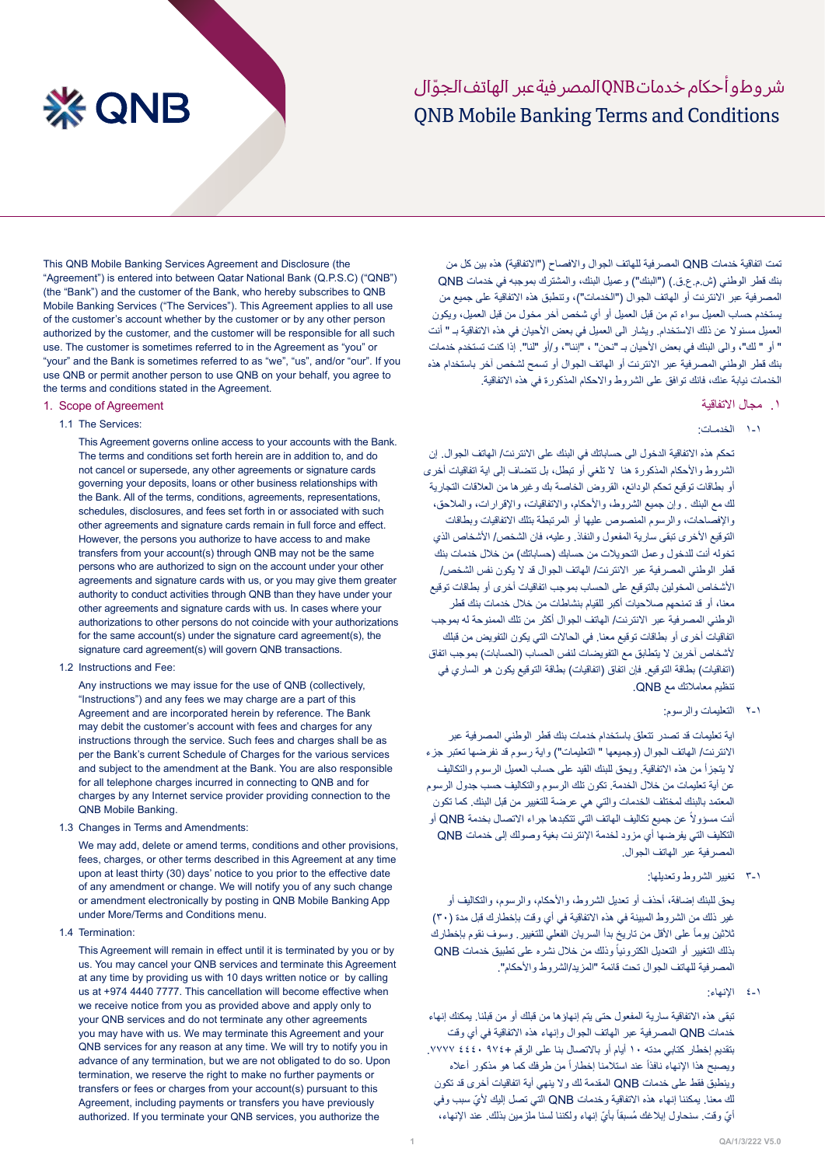## ONB Mobile Banking Terms and Conditions شر وطو أحكام خدماتONBالمصر فيةعبر الهاتف الحوّ ال

# **※ QNB**

This QNB Mobile Banking Services Agreement and Disclosure (the "Agreement") is entered into between Qatar National Bank (Q.P.S.C) ("QNB") (the "Bank") and the customer of the Bank, who hereby subscribes to QNB Mobile Banking Services ("The Services"). This Agreement applies to all use of the customer's account whether by the customer or by any other person authorized by the customer, and the customer will be responsible for all such use. The customer is sometimes referred to in the Agreement as "you" or "your" and the Bank is sometimes referred to as "we", "us", and/or "our". If you use QNB or permit another person to use QNB on your behalf, you agree to the terms and conditions stated in the Agreement.

## 1. Scope of Agreement

1.1 The Services:

This Agreement governs online access to your accounts with the Bank. The terms and conditions set forth herein are in addition to, and do not cancel or supersede, any other agreements or signature cards governing your deposits, loans or other business relationships with the Bank. All of the terms, conditions, agreements, representations, schedules, disclosures, and fees set forth in or associated with such other agreements and signature cards remain in full force and effect. However, the persons you authorize to have access to and make transfers from your account(s) through QNB may not be the same persons who are authorized to sign on the account under your other agreements and signature cards with us, or you may give them greater authority to conduct activities through QNB than they have under your other agreements and signature cards with us. In cases where your authorizations to other persons do not coincide with your authorizations for the same account(s) under the signature card agreement(s), the signature card agreement(s) will govern QNB transactions.

1.2 Instructions and Fee:

Any instructions we may issue for the use of QNB (collectively, "Instructions") and any fees we may charge are a part of this Agreement and are incorporated herein by reference. The Bank may debit the customer's account with fees and charges for any instructions through the service. Such fees and charges shall be as per the Bank's current Schedule of Charges for the various services and subject to the amendment at the Bank. You are also responsible for all telephone charges incurred in connecting to ONB and for charges by any Internet service provider providing connection to the QNB Mobile Banking.

1.3 Changes in Terms and Amendments:

We may add, delete or amend terms, conditions and other provisions, fees, charges, or other terms described in this Agreement at any time upon at least thirty (30) days' notice to you prior to the effective date of any amendment or change. We will notify you of any such change or amendment electronically by posting in QNB Mobile Banking App under More/Terms and Conditions menu.

1.4 Termination:

This Agreement will remain in effect until it is terminated by you or by us. You may cancel your QNB services and terminate this Agreement at any time by providing us with 10 days written notice or by calling us at +974 4440 7777. This cancellation will become effective when we receive notice from you as provided above and apply only to your QNB services and do not terminate any other agreements you may have with us. We may terminate this Agreement and your QNB services for any reason at any time. We will try to notify you in advance of any termination, but we are not obligated to do so. Upon termination, we reserve the right to make no further payments or transfers or fees or charges from your account(s) pursuant to this Agreement, including payments or transfers you have previously authorized. If you terminate your QNB services, you authorize the

تمت اتفاقية خدمات QNB المصرفية للهاتف الجوال والافصاح ("الاتفاقية) هذه بين كل من بنك قطر الوطني )ش.م.ع.ق.( )"البنك"( وعميل البنك، والمشترك بموجبه في خدمات QNB المصر فية عبر الانترنت أو الهاتف الجوال ("الخدمات")، وتنطبق هذه الاتفاقية على جميع من يستخدم حساب العميل سواء تم من قبل العميل أو أي شخص آخر مخول من قبل العميل، ويكون العميل مسئو لا عن ذلك الاستخدام. ويشار الى العميل في بعض الأحيان في هذه الاتفاقية بـ " أنت " أو " لك"، والى البنك في بعض األحيان بـ "نحن" ، "إننا"، و/أو "لنا". إذا كنت تستخدم خدمات بنك قطر الوطني المصرفية عبر االنترنت أو الهاتف الجوال أو تسمح لشخص آخر باستخدام هذه الخدمات نيابة عنك، فانك توافق على الشروط واالحكام المذكورة في هذه االتفاقية.

## .١ مجال االتفاقية

1-1 الخدمـات:

تحكم هذه االتفاقية الدخول الى حساباتك في البنك على االنترنت/ الهاتف الجوال. إن الشروط واألحكام المذكورة هنا ال تلغي أو تبطل، بل تنضاف إلى اية اتفاقيات أخرى أو بطاقات توقيع تحكم الودائع، القروض الخاصة بك وغيرها من العالقات التجارية لك مع البنك . وإن جميع الشروط، واألحكام، واالتفاقيات، واإلقرارات، والمالحق، واإلفصاحات، والرسوم المنصوص عليها أو المرتبطة بتلك االتفاقيات وبطاقات التوقيع الأخرى تبقى سارية المفعول والنفاذ. وعليه، فان الشخص/ الأشخاص الذي تخوله أنت للدخول وعمل التحويلات من حسابك (حساباتك) من خلال خدمات بنك قطر الوطني المصرفية عبر االنترنت/ الهاتف الجوال قد ال يكون نفس الشخص/ األشخاص المخولين بالتوقيع على الحساب بموجب اتفاقيات أخرى أو بطاقات توقيع معنا، أو قد تمنحهم صالحيات أكبر للقيام بنشاطات من خالل خدمات بنك قطر الوطني المصرفية عبر االنترنت/ الهاتف الجوال أكثر من تلك الممنوحة له بموجب اتفاقيات أخرى أو بطاقات توقيع معنا. في الحاالت التي يكون التفويض من قبلك لأشخاص آخرين لا يتطابق مع التفويضات لنفس الحساب (الحسابات) بموجب اتفاق (اتفاقيات) بطاقة التوقيع. فإن اتفاق (اتفاقيات) بطاقة التوقيع يكون هو الساري في تنظيم معامالتك مع QNB.

2-1 التعليمات والرسوم:

اية تعليمات قد تصدر تتعلق باستخدام خدمات بنك قطر الوطني المصرفية عبر االنترنت/ الهاتف الجوال )وجميعها " التعليمات"( واية رسوم قد نفرضها تعتبر جزء ال يتجزأ من هذه االتفاقية. ويحق للبنك القيد على حساب العميل الرسوم والتكاليف عن أية تعليمات من خالل الخدمة. تكون تلك الرسوم والتكاليف حسب جدول الرسوم المعتمد بالبنك لمختلف الخدمات والتي هي عرضة للتغيير من قبل البنك. كما تكون أنت مسؤولاً عن جميع تكاليف الهاتف التي تتكبدها جراء الاتصال بخدمة QNB أو التكليف التي يفرضها أي مزود لخدمة اإلنترنت بغية وصولك إلى خدمات QNB المصرفية عبر الهاتف الجوال.

3-1 تغيير الشروط وتعديلها:

يحق للبنك إضافة، أحذف أو تعديل الشروط، واألحكام، والرسوم، والتكاليف أو غير ذلك من الشروط المبينة في هذه الاتفاقية في أي وقت بإخطارك قبل مدة (٣٠) ثلاثين يوماً على الأقل من تاريخ بدأ السريان الفعلي للتغيير . وسوف نقوم بإخطارك بذلك التغيير أو التعديل الكترونياً وذلك من خلال نشره على تطبيق خدمات QNB المصرفية للهاتف الجوال تحت قائمة "المزيد/الشروط واألحكام".

4-1 اإلنهاء:

تبقى هذه االتفاقية سارية المفعول حتى يتم إنهاؤها من قبلك أو من قبلنا. يمكنك إنهاء خدمات QNB المصرفية عبر الهاتف الجوال وإنهاء هذه االتفاقية في أي وقت بتقديم إخطار كتابي مدته 10 أيام أو باالتصال بنا على الرقم 974+ 4440 .7777 ريصبح هذا الإنهاء نافذاً عند استلامنا إخطاراً من طرفك كما هو مذكور أعلاه وينطبق فقط على خدمات QNB المقدمة لك وال ينهي أية اتفاقيات أخرى قد تكون لك معنا. يمكننا إنهاء هذه االتفاقية وخدمات QNB ّ التي تصل إليك ألي سبب وفي ايّ وقت. سنحاول إبلاغك مُسبقاً بأيّ إنهاء ولكننا لسنا ملزمين بذلك. عند الإنهاء،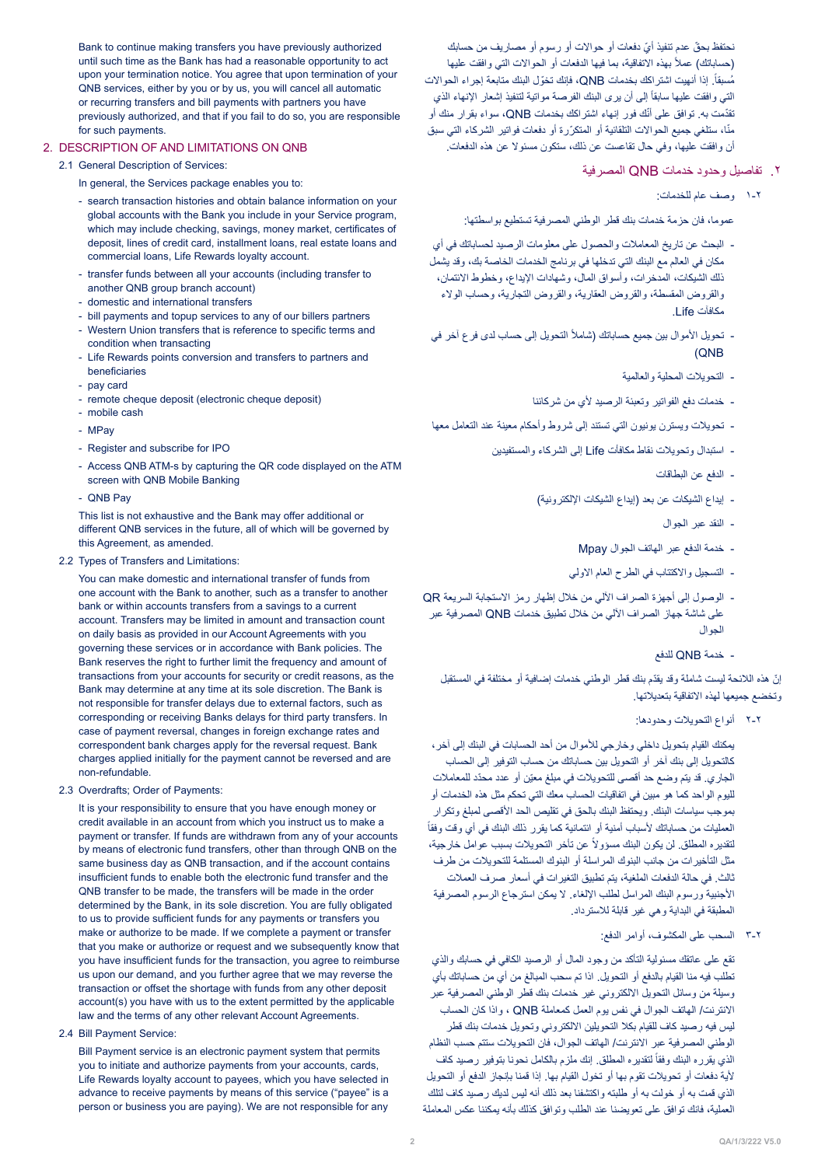ّ نحتفظ بحق ّ عدم تنفيذ أي دفعات أو حواالت أو رسوم أو مصاريف من حسابك (حساباتك) عملاً بـهذه الاتفاقية، بما فيها الدفعات أو الـحوالات التـي وافقت عليها مُسبقاً. إذا أنهيت اشتراكك بخدمات QNB، فإنك تخوّل البنك متابعة إجراء الحوالات التي وافقت عليها سابقاً إلى أن يرى البنك الفرصة مواتية لتنفيذ إشعار الإنهاء الذي نقدّمت به. توافق على أنّك فور إنهاء اشتراكك بخدمات QNB، سواء بقرار منك أو منًا، ستلغي جميع الحوالات التلقائية أو المتكرّرة أو دفعات فواتير الشركاء التي سبق أن وافقت عليها، وفي حال تقاعست عن ذلك، ستكون مسئوال عن هذه الدفعات.

- .2 تفاصيل وحدود خدمات QNB المصرفية
	- 1-2 وصف عام للخدمات:

عموما، فان حزمة خدمات بنك قطر الوطني المصرفية تستطيع بواسطتها:

- البحث عن تاريخ المعامالت والحصول على معلومات الرصيد لحساباتك في أي مكان في العالم مع البنك التي تدخلها في برنامج الخدمات الخاصة بك، وقد يشمل ذلك الشيكات، المدخرات، وأسواق المال، وشهادات اإليداع، وخطوط االئتمان، والقروض المقسطة، والقروض العقارية، والقروض التجارية، وحساب الوالء مكافآت Life.
- تحويل الأموال بين جميع حساباتك (شاملاً التحويل إلى حساب لدى فر ع آخر في QNB)
	- التحويالت المحلية والعالمية
	- خدمات دفع الفواتير وتعبئة الرصيد ألي من شركائنا
- تحويالت ويسترن يونيون التي تستند إلى شروط وأحكام معينة عند التعامل معها
	- استبدال وتحويالت نقاط مكافأت Life إلى الشركاء والمستفيدين
		- الدفع عن البطاقات
		- إيداع الشيكات عن بعد (إيداع الشيكات الإلكترونية)
			- النقد عبر الجوال
			- خدمة الدفع عبر الهاتف الجوال Mpay
			- التسجيل واالكتتاب في الطرح العام االولي
- الوصول إلى أجهزة الصراف اآللي من خالل إظهار رمز االستجابة السريعة QR على شاشة جهاز الصراف اآللي من خالل تطبيق خدمات QNB المصرفية عبر الجوال
	- خدمة QNB للدفع

ّ إن ّ هذه الالئحة ليست شاملة وقد يقدم بنك قطر الوطني خدمات إضافية أو مختلفة في المستقبل وتخضع جميعها لهذه الاتفاقية بتعديلاتها.

2-2 أنواع التحويالت وحدودها:

يمكنك القيام بتحويل داخلي وخارجي لألموال من أحد الحسابات في البنك إلى آخر، كالتحويل إلى بنك آخر أو التحويل بين حساباتك من حساب التوفير إلى الحساب الجاري. قد يتم وضع حد أقصى للتحويلات في مبلغ معيّن أو عدد محدّد للمعاملات لليوم الواحد كما هو مبين في اتفاقيات الحساب معك التي تحكم مثل هذه الخدمات أو بموجب سياسات البنك. ويحتفظ البنك بالحق في تقليص الحد األقصى لمبلغ وتكرار العمليات من حساباتك ألسباب أمنية أو ائتمانية كما يقرر ذلك البنك في أي وقت وفقا لتقديره المطلق لن يكون البنك مسؤولاً عن تأخر التحويلات بسبب عوامل خارجية، مثل التأخيرات من جانب البنوك المراسلة أو البنوك المستلمة للتحويالت من طرف ثالث. في حالة الدفعات الملغية، يتم تطبيق التغيرات في أسعار صرف العمالت األجنبية ورسوم البنك المراسل لطلب اإللغاء. ال يمكن استرجاع الرسوم المصرفية المطبقة في البداية وهي غير قابلة لالسترداد.

3-2 السحب على المكشوف، أوامر الدفع:

تقع على عاتقك مسئولية التأكد من وجود المال أو الرصيد الكافي في حسابك والذي تطلب فيه منا القيام بالدفع أو التحويل. اذا تم سحب المبالغ من أي من حساباتك بأي وسيلة من وسائل التحويل االلكتروني غير خدمات بنك قطر الوطني المصرفية عبر االنترنت/ الهاتف الجوال في نفس يوم العمل كمعاملة QNB ، واذا كان الحساب ليس فيه رصيد كاف للقيام بكال التحويلين االلكتروني وتحويل خدمات بنك قطر الوطني المصرفية عبر االنترنت/ الهاتف الجوال، فان التحويالت ستتم حسب النظام الذي يقرره البنك وفقأ لتقديره المطلق إنك ملزم بالكامل نحونا بتوفير رصيد كاف ألية دفعات أو تحويالت تقوم بها أو تخول القيام بها. إذا قمنا بإنجاز الدفع أو التحويل الذي قمت به أو خولت به أو طلبته واكتشفنا بعد ذلك أنه ليس لديك رصيد كاف لتلك العملية، فانك توافق على تعويضنا عند الطلب وتوافق كذلك بأنه يمكننا عكس المعاملة

Bank to continue making transfers you have previously authorized until such time as the Bank has had a reasonable opportunity to act upon your termination notice. You agree that upon termination of your QNB services, either by you or by us, you will cancel all automatic or recurring transfers and bill payments with partners you have previously authorized, and that if you fail to do so, you are responsible for such payments.

## 2. DESCRIPTION OF AND LIMITATIONS ON ONB

## 2.1 General Description of Services:

In general, the Services package enables you to:

- search transaction histories and obtain balance information on your global accounts with the Bank you include in your Service program, which may include checking, savings, money market, certificates of deposit, lines of credit card, installment loans, real estate loans and commercial loans, Life Rewards loyalty account.
- transfer funds between all your accounts (including transfer to another QNB group branch account)
- domestic and international transfers
- bill payments and topup services to any of our billers partners
- Western Union transfers that is reference to specific terms and condition when transacting
- Life Rewards points conversion and transfers to partners and beneficiaries
- pay card
- remote cheque deposit (electronic cheque deposit)
- mobile cash
- MPay
- Register and subscribe for IPO
- Access QNB ATM-s by capturing the QR code displayed on the ATM screen with ONB Mobile Banking
- QNB Pay

This list is not exhaustive and the Bank may offer additional or different QNB services in the future, all of which will be governed by this Agreement, as amended.

## 2.2 Types of Transfers and Limitations:

You can make domestic and international transfer of funds from one account with the Bank to another, such as a transfer to another bank or within accounts transfers from a savings to a current account. Transfers may be limited in amount and transaction count on daily basis as provided in our Account Agreements with you governing these services or in accordance with Bank policies. The Bank reserves the right to further limit the frequency and amount of transactions from your accounts for security or credit reasons, as the Bank may determine at any time at its sole discretion. The Bank is not responsible for transfer delays due to external factors, such as corresponding or receiving Banks delays for third party transfers. In case of payment reversal, changes in foreign exchange rates and correspondent bank charges apply for the reversal request. Bank charges applied initially for the payment cannot be reversed and are non-refundable

2.3 Overdrafts; Order of Payments:

It is your responsibility to ensure that you have enough money or credit available in an account from which you instruct us to make a payment or transfer. If funds are withdrawn from any of your accounts by means of electronic fund transfers, other than through QNB on the same business day as QNB transaction, and if the account contains insufficient funds to enable both the electronic fund transfer and the ONB transfer to be made, the transfers will be made in the order determined by the Bank, in its sole discretion. You are fully obligated to us to provide sufficient funds for any payments or transfers you make or authorize to be made. If we complete a payment or transfer that you make or authorize or request and we subsequently know that you have insufficient funds for the transaction, you agree to reimburse us upon our demand, and you further agree that we may reverse the transaction or offset the shortage with funds from any other deposit account(s) you have with us to the extent permitted by the applicable law and the terms of any other relevant Account Agreements.

2.4 Bill Payment Service:

Bill Payment service is an electronic payment system that permits you to initiate and authorize payments from your accounts, cards, Life Rewards loyalty account to payees, which you have selected in advance to receive payments by means of this service ("payee" is a person or business you are paying). We are not responsible for any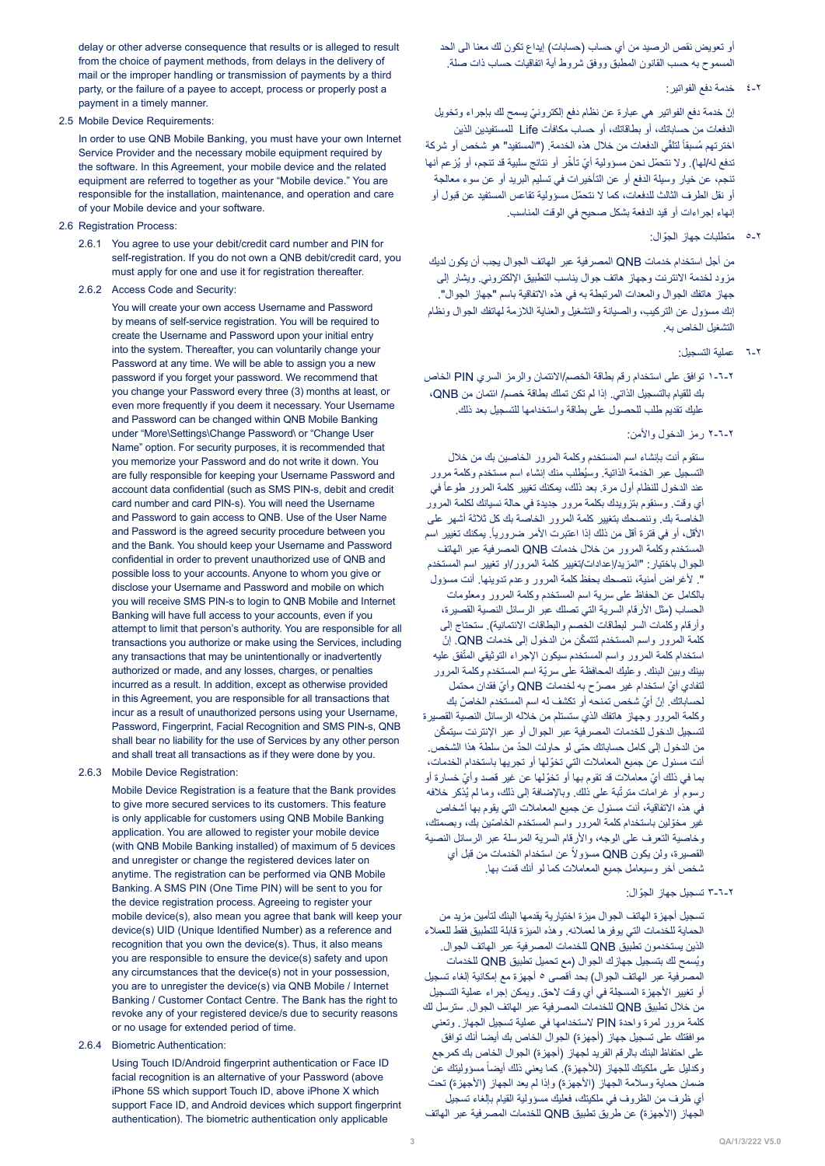delay or other adverse consequence that results or is alleged to result from the choice of payment methods, from delays in the delivery of mail or the improper handling or transmission of payments by a third party, or the failure of a payee to accept, process or properly post a payment in a timely manner.

#### 2.5 Mobile Device Requirements:

In order to use QNB Mobile Banking, you must have your own Internet Service Provider and the necessary mobile equipment required by the software. In this Agreement, your mobile device and the related equipment are referred to together as your "Mobile device." You are responsible for the installation, maintenance, and operation and care of your Mobile device and your software.

- 2.6 Registration Process:
	- 2.6.1 You agree to use your debit/credit card number and PIN for self-registration. If you do not own a QNB debit/credit card, you must apply for one and use it for registration thereafter.
	- 2.6.2 Access Code and Security:

You will create your own access Username and Password by means of self-service registration. You will be required to create the Username and Password upon your initial entry into the system. Thereafter, you can voluntarily change your Password at any time. We will be able to assign you a new password if you forget your password. We recommend that you change your Password every three (3) months at least, or even more frequently if you deem it necessary. Your Username and Password can be changed within QNB Mobile Banking under "More\Settings\Change Password\ or "Change User Name" option. For security purposes, it is recommended that you memorize your Password and do not write it down. You are fully responsible for keeping your Username Password and account data confidential (such as SMS PIN-s, debit and credit card number and card PIN-s). You will need the Username and Password to gain access to QNB. Use of the User Name and Password is the agreed security procedure between you and the Bank. You should keep your Username and Password confidential in order to prevent unauthorized use of QNB and possible loss to your accounts. Anyone to whom you give or disclose your Username and Password and mobile on which you will receive SMS PIN-s to login to QNB Mobile and Internet Banking will have full access to your accounts, even if you attempt to limit that person's authority. You are responsible for all transactions you authorize or make using the Services, including any transactions that may be unintentionally or inadvertently authorized or made, and any losses, charges, or penalties incurred as a result. In addition, except as otherwise provided in this Agreement, you are responsible for all transactions that incur as a result of unauthorized persons using your Username. Password, Fingerprint, Facial Recognition and SMS PIN-s, QNB shall bear no liability for the use of Services by any other person and shall treat all transactions as if they were done by you.

## 2.6.3 Mobile Device Registration:

Mobile Device Registration is a feature that the Bank provides to give more secured services to its customers. This feature is only applicable for customers using QNB Mobile Banking application. You are allowed to register your mobile device (with QNB Mobile Banking installed) of maximum of 5 devices and unregister or change the registered devices later on anytime. The registration can be performed via QNB Mobile Banking. A SMS PIN (One Time PIN) will be sent to you for the device registration process. Agreeing to register your mobile device(s), also mean you agree that bank will keep your device(s) UID (Unique Identified Number) as a reference and recognition that you own the device(s). Thus, it also means you are responsible to ensure the device(s) safety and upon any circumstances that the device(s) not in your possession, you are to unregister the device(s) via QNB Mobile / Internet Banking / Customer Contact Centre. The Bank has the right to revoke any of your registered device/s due to security reasons or no usage for extended period of time.

### 2.6.4 Biometric Authentication:

Using Touch ID/Android fingerprint authentication or Face ID facial recognition is an alternative of your Password (above iPhone 5S which support Touch ID, above iPhone X which support Face ID, and Android devices which support fingerprint authentication). The biometric authentication only applicable

أو تعويض نقص الرصيد من أي حساب (حسابات) إيداع تكون لك معنا الى الحد المسموح به حسب القانون المطبق ووفق شروط أية اتفاقيات حساب ذات صلة.

4-2 خدمة دفع الفواتير:

ّ إن ّ خدمة دفع الفواتير هي عبارة عن نظام دفع إلكتروني يسمح لك بإجراء وتخويل الدفعات من حساباتك، أو بطاقاتك، أو حساب مكافآت Life للمستفيدين الذين اخترتهم مُسبقاً لتلقّي الدفعات من خلال هذه الخدمة. ("المستفيد" هو شخص أو شركة تدفع له/لها). ولا نتحمّل نحن مسؤولية أيّ تأخّر أو نتائج سلبية قد تنجم، أو يُزعم أنها تنجم، عن خيار وسيلة الدفع أو عن التأخيرات في تسليم البريد أو عن سوء معالجة ّ أو نقل الطرف الثالث للدفعات، كما ال نتحمل مسؤولية تقاعس المستفيد عن قبول أو إنهاء إجراءات أو قيد الدفعة بشكل صحيح في الوقت المناسب.

5-2 ّ متطلبات جهاز الجوال:

من أجل استخدام خدمات QNB المصرفية عبر الهاتف الجوال يجب أن يكون لديك مزود لخدمة االنترنت وجهاز هاتف جوال يناسب التطبيق اإللكتروني. ويشار إلى جهاز هاتفك الجوال والمعدات المرتبطة به في هذه االتفاقية باسم "جهاز الجوال". إنك مسؤول عن التركيب، والصيانة والتشغيل والعناية الالزمة لهاتفك الجوال ونظام التشغيل الخاص به.

- 6-2 عملية التسجيل:
- 1-6-2 توافق على استخدام رقم بطاقة الخصم/االئتمان والرمز السري PIN الخاص بك للقيام بالتسجيل الذاتي. إذا لم تكن تملك بطاقة خصم/ ائتمان من QNB، عليك تقديم طلب للحصول على بطاقة واستخدامها للتسجيل بعد ذلك.

## 2-6-2 رمز الدخول واألمن:

ستقوم أنت بإنشاء اسم المستخدم وكلمة المرور الخاصين بك من خالل ُ التسجيل عبر الخدمة الذاتية. وسيطلب منك إنشاء اسم مستخدم وكلمة مرور عند الدخول للنظام أول مرة. بعد ذلك، يمكنك تغيير كلمة المرور طوعاً في أي وقت. وسنقوم بتزويدك بكلمة مرور جديدة في حالة نسيانك لكلمة المرور الخاصة بك. وننصحك بتغيير كلمة المرور الخاصة بك كل ثالثة أشهر على الأقل، أو في فترة أقل من ذلك إذا اعتبرت الأمر ضرورياً. يمكنك تغيير اسم المستخدم وكلمة المرور من خالل خدمات QNB المصرفية عبر الهاتف الجوال باختيار: "المزيد/إعدادات/تغيير كلمة المرور/او تغيير اسم المستخدم ". ألغراض أمنية، ننصحك بحفظ كلمة المرور وعدم تدوينها. أنت مسؤول بالكامل عن الحفاظ على سرية اسم المستخدم وكلمة المرور ومعلومات الحساب (مثل الأرقام السرية التي تصلك عبر الرسائل النصية القصيرة، وأرقام وكلمات السر لبطاقات الخصم والبطاقات الائتمانية). ستحتاج إلى ّ كلمة المرور واسم المستخدم لتتمكن من الدخول إلى خدمات QNB ّ . إن استخدام كلمة المرور واسم المستخدم سيكون الإجراء التوثيقي المتّفق عليه ّ بينك وبين البنك. وعليك المحافظة على سرية اسم المستخدم وكلمة المرور ّ لتفادي أي ّ استخدام غير مصرح به لخدمات QNB ّ وأي فقدان محتمل ّ لحساباتك. إن ّ أي ّ شخص تمنحه أو تكشف له اسم المستخدم الخاص بك وكلمة المرور وجهاز هاتفك الذي ستستلم من خالله الرسائل النصية القصيرة ّ لتسجيل الدخول للخدمات المصرفية عبر الجوال أو عبر اإلنترنت سيتمكن ّ من الدخول إلى كامل حساباتك حتى لو حاولت الحد من سلطة هذا الشخص. ّ أنت مسئول عن جميع المعامالت التي تخولها أو تجريها باستخدام الخدمات، ّ بما في ذلك أي ّ معامالت قد تقوم بها أو تخو ّ لها عن غير قصد وأي خسارة أو رسوم أو غرامات مترتَّبة على ذلك. وبالإضافة إلى ذلك، وما لم يُذكر خلافه في هذه االتفاقية، أنت مسئول عن جميع المعامالت التي يقوم بها أشخاص غير مخوّلين باستخدام كلمة المرور واسم المستخدم الخاصّين بك، وبصمتك، وخاصية التعرف على الوجه، واألرقام السرية المرسلة عبر الرسائل النصية لقصيرة، ولن يكون QNB مسؤولاً عن استخدام الخدمات من قبل أي شخص آخر وسيعامل جميع المعامالت كما لو أنك قمت بها.

## 3-6-2 ّ تسجيل جهاز الجوال:

تسجيل أجهزة الهاتف الجوال ميزة اختيارية يقدمها البنك لتأمين مزيد من الحماية للخدمات التي يوفرها لعمالئه. وهذه الميزة قابلة للتطبيق فقط للعمالء الذين يستخدمون تطبيق QNB للخدمات المصرفية عبر الهاتف الجوال. ُويسمح لك بتسجيل جهازك الجوال )مع تحميل تطبيق QNB للخدمات المصرفية عبر الهاتف الجوال( بحد أقصى 5 أجهزة مع إمكانية إلغاء تسجيل أو تغيير الأجهزة المسجلة في أي وقت لاحق. ويمكن إجراء عملية التسجيل من خالل تطبيق QNB للخدمات المصرفية عبر الهاتف الجوال. سترسل لك كلمة مرور لمرة واحدة PIN الستخدامها في عملية تسجيل الجهاز. وتعني موافقتك على تسجيل جهاز (أجهزة) الجوال الخاص بك أيضا أنك توافق على احتفاظ البنك بالرقم الفريد لجهاز (أجهزة) الجوال الخاص بك كمرجع ركدليل على ملكيتك للجهاز (للأجهزة). كما يعني ذلك أيضاً مسؤوليتك عن ضمان حماية وسلامة الجهاز (الأجهزة) وإذا لم يعد الجهاز (الأجهزة) تحت أي ظرف من الظروف في ملكيتك، فعليك مسؤولية القيام بإلغاء تسجيل الجهاز (الأجهزة) عن طريق تطبيق QNB للخدمات المصرفية عبر الهاتف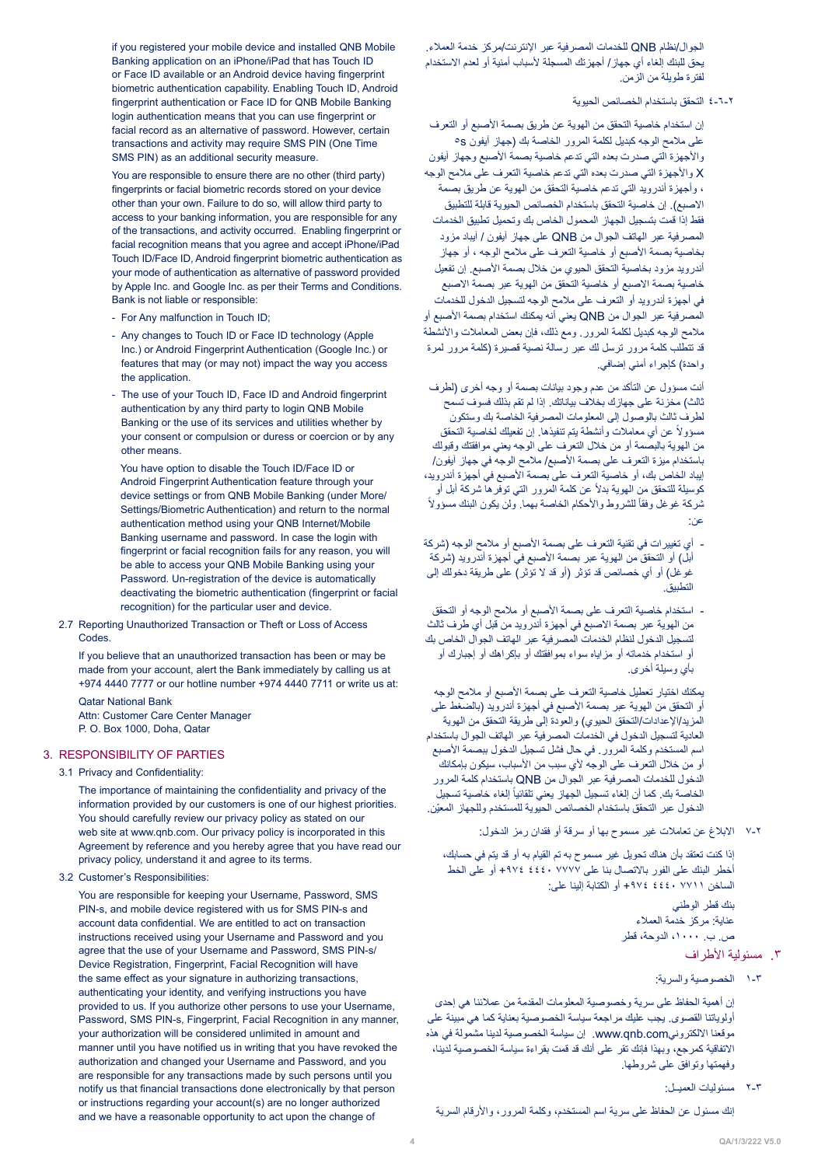الجوال/نظام QNB للخدمات المصرفية عبر اإلنترنت/مركز خدمة العمالء. يحق للبنك إلغاء أي جهاز / أجهزتك المسجلة لأسباب أمنية أو لعدم الاستخدام لفترة طويلة من الزمن.

## 4-6-2 التحقق باستخدام الخصائص الحيوية

إن استخدام خاصية التحقق من الهوية عن طريق بصمة األصبع أو التعرف على مالمح الوجه كبديل لكلمة المرور الخاصة بك )جهاز آيفون s5 والأجهزة التي صدرت بعده التي تدعم خاصية بصمة الأصبع وجهاز آيفون X واألجهزة التي صدرت بعده التي تدعم خاصية التعرف على مالمح الوجه ، وأجهزة أندرويد التي تدعم خاصية التحقق من الهوية عن طريق بصمة الاصبع). إن خاصية التحقق باستخدام الخصائص الحيوية قابلة للتطبيق فقط إذا قمت بتسجيل الجهاز المحمول الخاص بك وتحميل تطبيق الخدمات المصرفية عبر الهاتف الجوال من QNB على جهاز آيفون / آيباد مزود بخاصية بصمة األصبع أو خاصية التعرف على مالمح الوجه ، أو جهاز أندرويد مزود بخاصية التحقق الحيوي من خالل بصمة األصبع. إن تفعيل خاصية بصمة االصبع أو خاصية التحقق من الهوية عبر بصمة االصبع في أجهزة أندرويد أو التعرف على مالمح الوجه لتسجيل الدخول للخدمات المصرفية عبر الجوال من QNB يعني أنه يمكنك استخدام بصمة الأصبع أو ملامح الوجه كبديل لكلمة المرور . ومع ذلك، فإن بعض المعاملات والأنشطة قد تتطلب كلمة مرور ترسل لك عبر رسالة نصية قصيرة )كلمة مرور لمرة واحدة) كإجراء أمني إضافي.

 أنت مسؤول عن التأكد من عدم وجود بيانات بصمة أو وجه أخرى )لطرف .<br>ثالث) مخزنة على جهازك بخلاف بياناتك. إذا لم تقم بذلك فسوف تسمح لطرف ثالث بالوصول إلى المعلومات المصرفية الخاصة بك وستكون مسؤولاً عن أي معاملات وأنشطة يتم تنفيذها. إن تفعيلك لخاصية التحقق من الهوية بالبصمة أو من خالل التعرف على الوجه يعني موافقتك وقبولك باستخدام ميزة التعرف على بصمة األصبع/ مالمح الوجه في جهاز آيفون/ إيباد الخاص بك، أو خاصية التعرف على بصمة األصبع في أجهزة أندرويد، كوسيلة للتحقق من الـهوية بدلاً عن كلمة المرور التي توفر ها شركة أبل أو ً نْرِكة غوغل وفقاً للشروط والأحكام الخاصة بهما. ولن يكون البنك مسؤولاً عن:

- أي تغييرات في تقنية التعرف على بصمة الأصبع أو ملامح الوجه (شركة أبلّ) أو التحقق من الهوية عبر بصمة الأصبع في أجهزة أندرويد (شركة غوغل) أو أي خصائص قد تؤثر (أو قد لا تؤثر) على طريقة دخولك إلى التطبيق.
- استخدام خاصية التعرف على بصمة األصبع أو مالمح الوجه أو التحقق من الهوية عبر بصمة االصبع في أجهزة أندرويد من قبل أي طرف ثالث لتسجيل الدخول لنظام الخدمات المصرفية عبر الهاتف الجوال الخاص بك أو استخدام خدماته أو مزاياه سواء بموافقتك أو بإكراهك أو إجبارك أو بأي وسيلة أخرى.

 يمكنك اختيار تعطيل خاصية التعرف على بصمة األصبع أو مالمح الوجه أو التحقق من الهوية عبر بصمة الأصبع في أجهزة أندرويد (بالضغط على المزيد/الإعدادات/التحقق الحيوي) والعودة إلى طريقة التحقق من الهوية العادية لتسجيل الدخول في الخدمات المصرفية عبر الهاتف الجوال باستخدام اسم المستخدم وكلمة المرور . في حال فشل تسجيل الدخول ببصمة الأصبع أو من خلال التعرف على الوجه لأي سبب من الأسباب، سيكون بإمكانك الدخول للخدمات المصرفية عبر الجوال من QNB باستخدام كلمة المرور الخاصة بك. كما أن إلغاء تسجيل الجهاز يعني تلقائياً إلغاء خاصية تسجيل ّ الدخول عبر التحقق باستخدام الخصائص الحيوية للمستخدم وللجهاز المعين.

7-2 االبالغ عن تعامالت غير مسموح بها أو سرقة أو فقدان رمز الدخول:

إذا كنت تعتقد بأن هناك تحويل غير مسموح به تم القيام به أو قد يتم في حسابك، أخطر البنك على الفور بالاتصال بنا على ٢٧٧٧ ٤٤٤٠ 4٧٤٤ أو على الخط الساخن 7711 4440 +974 أو الكتابة إلينا على:

> بنك قطر الوطني عناية: مركز خدمة العمالء ص. ب. ،1000 الدوحة، قطر

## ٣. مسئولية الأطراف

1-3 الخصوصية والسرية:

إن أهمية الحفاظ على سرية وخصوصية المعلومات المقدمة من عمالئنا هي إحدى أولوياتنا القصوى. يجب عليك مراجعة سياسة الخصوصية بعناية كما هي مبينة على موقعنا االلكترونيcom.qnb.www. إن سياسة الخصوصية لدينا مشمولة في هذه االتفاقية كمرجع، وبهذا فإنك تقر على أنك قد قمت بقراءة سياسة الخصوصية لدينا، وفهمتها وتوافق على شروطها.

2-3 مسئوليات العميــل:

إنك مسئول عن الحفاظ على سرية اسم المستخدم، وكلمة المرور، واألرقام السرية

if you registered your mobile device and installed QNB Mobile Banking application on an iPhone/iPad that has Touch ID or Face ID available or an Android device having fingerprint biometric authentication capability. Enabling Touch ID, Android fingerprint authentication or Face ID for QNB Mobile Banking login authentication means that you can use fingerprint or facial record as an alternative of password. However, certain transactions and activity may require SMS PIN (One Time SMS PIN) as an additional security measure.

You are responsible to ensure there are no other (third party) fingerprints or facial biometric records stored on your device other than your own. Failure to do so, will allow third party to access to your banking information, you are responsible for any of the transactions, and activity occurred. Enabling fingerprint or facial recognition means that you agree and accept iPhone/iPad Touch ID/Face ID, Android fingerprint biometric authentication as your mode of authentication as alternative of password provided by Apple Inc. and Google Inc. as per their Terms and Conditions. Bank is not liable or responsible:

- For Any malfunction in Touch ID;
- Any changes to Touch ID or Face ID technology (Apple Inc.) or Android Fingerprint Authentication (Google Inc.) or features that may (or may not) impact the way you access the application.
- The use of your Touch ID, Face ID and Android fingerprint authentication by any third party to login QNB Mobile Banking or the use of its services and utilities whether by your consent or compulsion or duress or coercion or by any other means

You have option to disable the Touch ID/Face ID or Android Fingerprint Authentication feature through your device settings or from QNB Mobile Banking (under More/ Settings/Biometric Authentication) and return to the normal authentication method using your QNB Internet/Mobile Banking username and password. In case the login with fingerprint or facial recognition fails for any reason, you will be able to access your QNB Mobile Banking using your Password. Un-registration of the device is automatically deactivating the biometric authentication (fingerprint or facial recognition) for the particular user and device.

2.7 Reporting Unauthorized Transaction or Theft or Loss of Access .Codes

If you believe that an unauthorized transaction has been or may be made from your account, alert the Bank immediately by calling us at +974 4440 7777 or our hotline number +974 4440 7711 or write us at:

**Oatar National Bank** Attn: Customer Care Center Manager P. O. Box 1000, Doha, Qatar

## 3. RESPONSIBILITY OF PARTIES

## 3.1 Privacy and Confidentiality:

The importance of maintaining the confidentiality and privacy of the information provided by our customers is one of our highest priorities. You should carefully review our privacy policy as stated on our web site at www.gnb.com. Our privacy policy is incorporated in this Agreement by reference and you hereby agree that you have read our privacy policy, understand it and agree to its terms.

## 3.2 Customer's Responsibilities:

You are responsible for keeping your Username, Password, SMS PIN-s, and mobile device registered with us for SMS PIN-s and account data confidential. We are entitled to act on transaction instructions received using your Username and Password and you agree that the use of your Username and Password, SMS PIN-s/ Device Registration, Fingerprint, Facial Recognition will have the same effect as your signature in authorizing transactions, authenticating your identity, and verifying instructions you have provided to us. If you authorize other persons to use your Username, Password, SMS PIN-s, Fingerprint, Facial Recognition in any manner, your authorization will be considered unlimited in amount and manner until you have notified us in writing that you have revoked the authorization and changed your Username and Password, and you are responsible for any transactions made by such persons until you notify us that financial transactions done electronically by that person or instructions regarding your account(s) are no longer authorized and we have a reasonable opportunity to act upon the change of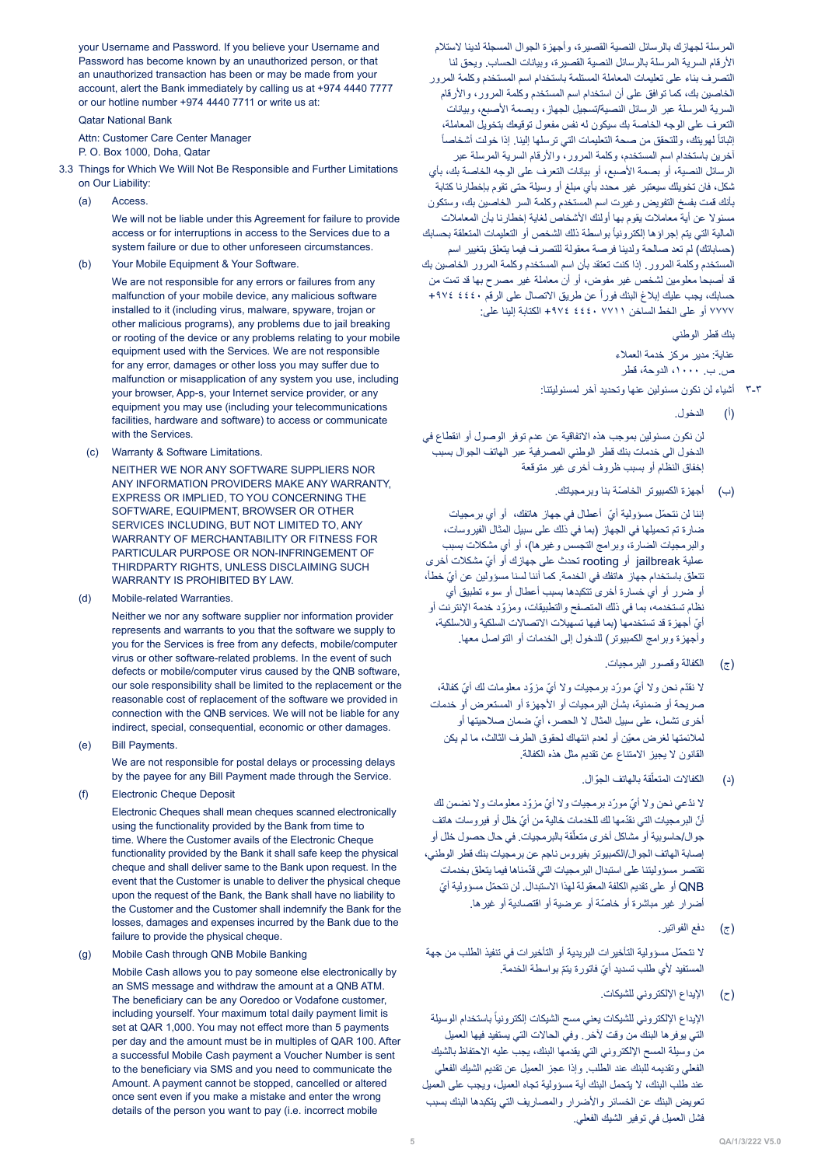your Username and Password. If you believe your Username and Password has become known by an unauthorized person, or that an unauthorized transaction has been or may be made from your account, alert the Bank immediately by calling us at +974 4440 7777 or our hotline number +974 4440 7711 or write us at:

**Qatar National Bank** 

Attn: Customer Care Center Manager

P. O. Box 1000, Doha, Qatar

- 3.3 Things for Which We Will Not Be Responsible and Further Limitations on Our Liability:
	- (a) Access.

We will not be liable under this Agreement for failure to provide access or for interruptions in access to the Services due to a system failure or due to other unforeseen circumstances.

(b) Your Mobile Equipment & Your Software.

We are not responsible for any errors or failures from any malfunction of your mobile device, any malicious software installed to it (including virus, malware, spyware, trojan or other malicious programs), any problems due to jail breaking or rooting of the device or any problems relating to your mobile equipment used with the Services. We are not responsible for any error, damages or other loss you may suffer due to malfunction or misapplication of any system you use, including your browser, App-s, your Internet service provider, or any equipment you may use (including your telecommunications facilities, hardware and software) to access or communicate with the Services.

(c) Warranty & Software Limitations.

NEITHER WE NOR ANY SOFTWARE SUPPLIERS NOR ANY INFORMATION PROVIDERS MAKE ANY WARRANTY. EXPRESS OR IMPLIED, TO YOU CONCERNING THE SOFTWARE FOUIPMENT BROWSER OR OTHER SERVICES INCLUDING, BUT NOT LIMITED TO, ANY WARRANTY OF MERCHANTABILITY OR FITNESS FOR PARTICULAR PURPOSE OR NON-INFRINGEMENT OF THIRDPARTY RIGHTS, UNLESS DISCLAIMING SUCH WARRANTY IS PROHIBITED BY LAW.

(d) Mobile-related Warranties

Neither we nor any software supplier nor information provider represents and warrants to you that the software we supply to you for the Services is free from any defects, mobile/computer virus or other software-related problems. In the event of such defects or mobile/computer virus caused by the QNB software, our sole responsibility shall be limited to the replacement or the reasonable cost of replacement of the software we provided in connection with the QNB services. We will not be liable for any indirect, special, consequential, economic or other damages.

(e) Bill Payments.

We are not responsible for postal delays or processing delays by the payee for any Bill Payment made through the Service.

(f) Electronic Cheque Deposit

Electronic Cheques shall mean cheques scanned electronically using the functionality provided by the Bank from time to time. Where the Customer avails of the Electronic Cheque functionality provided by the Bank it shall safe keep the physical cheque and shall deliver same to the Bank upon request. In the event that the Customer is unable to deliver the physical cheque upon the request of the Bank, the Bank shall have no liability to the Customer and the Customer shall indemnify the Bank for the tosses, damages and expenses incurred by the Bank due to the failure to provide the physical cheque.

(g) Mobile Cash through QNB Mobile Banking

Mobile Cash allows you to pay someone else electronically by an SMS message and withdraw the amount at a QNB ATM. The beneficiary can be any Ooredoo or Vodafone customer, including yourself. Your maximum total daily payment limit is set at QAR 1,000. You may not effect more than 5 payments per day and the amount must be in multiples of QAR 100. After a successful Mobile Cash payment a Voucher Number is sent to the beneficiary via SMS and you need to communicate the Amount. A payment cannot be stopped, cancelled or altered once sent even if you make a mistake and enter the wrong details of the person you want to pay (i.e. incorrect mobile

المرسلة لجهازك بالرسائل النصية القصيرة، وأجهزة الجوال المسجلة لدينا الستالم األرقام السرية المرسلة بالرسائل النصية القصيرة، وبيانات الحساب. ويحق لنا التصرف بناء على تعليمات المعاملة المستلمة باستخدام اسم المستخدم وكلمة المرور الخاصين بك، كما توافق على أن استخدام اسم المستخدم وكلمة المرور، واألرقام السرية المرسلة عبر الرسائل النصية/تسجيل الجهاز، وبصمة األصبع، وبيانات التعرف على الوجه الخاصة بك سيكون له نفس مفعول توقيعك بتخويل المعاملة، ً إثباتاً لهويتك، وللتحقق من صحة التعليمات التي ترسلها إلينا. إذا خولت أشخاصاً آخرين باستخدام اسم المستخدم، وكلمة المرور، واألرقام السرية المرسلة عبر الرسائل النصية، أو بصمة الأصبع، أو بيانات التعرف على الوجه الخاصة بك، بأي شكل، فان تخويلك سيعتبر غير محدد بأي مبلغ أو وسيلة حتى تقوم بإخطارنا كتابة بأنك قمت بفسخ التفويض وغيرت اسم المستخدم وكلمة السر الخاصين بك، وستكون مسئوال عن أية معامالت يقوم بها أولئك األشخاص لغاية إخطارنا بأن المعامالت المالية التي يتم إجراؤها إلكترونياً بواسطة ذلك الشخص أو التعليمات المتعلقة بحسابك (حساباتك) لم تعد صالحة ولدينا فرصة معقولة للتصرف فيما يتعلق بتغيير اسم المستخدم وكلمة المرور. إذا كنت تعتقد بأن اسم المستخدم وكلمة المرور الخاصين بك قد أصبحا معلومين لشخص غير مفوض، أو أن معاملة غير مصرح بها قد تمت من حسابك، يجب عليك إبلاغ البنك فوراً عن طريق الاتصال على الرقم ٤٤٤٠ ٢٩٧٤ 7777 أو على الخط الساخن 7711 4440 +974 الكتابة إلينا على:

بنك قطر الوطني

عناية: مدير مركز خدمة العمالء ص. ب. ،1000 الدوحة، قطر

- 3-3 أشياء لن نكون مسئولين عنها وتحديد آخر لمسئوليتنا:
	- )أ( الدخول.

لن نكون مسئولين بموجب هذه االتفاقية عن عدم توفر الوصول أو انقطاع في الدخول الى خدمات بنك قطر الوطني المصرفية عبر الهاتف الجوال بسبب إخفاق النظام أو بسبب ظروف أخرى غير متوقعة

)ب( ّ أجهزة الكمبيوتر الخاصة بنا وبرمجياتك.

إننا لن نتحمّل مسؤولية أيّ أعطال في جهاز هاتفك، أو أي برمجيات ضارة تم تحميلها في الجهاز (بما في ذلك على سبيل المثال الفيروسات، والبرمجيات الضارة، وبرامج التجسس وغيرها)، أو أي مشكلات بسبب عملية jailbreak أو rooting ّ تحدث على جهازك أو أي مشكالت أخرى ّ تتعلق باستخدام جهاز هاتفك في الخدمة. كما أننا لسنا مسؤولين عن أي خطأ، أو ضرر أو أي خسارة أخرى تتكبدها بسبب أعطال أو سوء تطبيق أي ّ نظام تستخدمه، بما في ذلك المتصفح والتطبيقات، ومزود خدمة اإلنترنت أو أيّ أجهزة قد تستخدمها (بما فيها تسهيلات الاتصالات السلكية واللاسلكية، وأجهزة وبرامج الكمبيوتر( للدخول إلى الخدمات أو التواصل معها.

)ج( الكفالة وقصور البرمجيات.

لا نقدّم نحن ولا أيّ مورّد برمجيات ولا أيّ مزوّد معلومات لك أيّ كفالة، صريحة أو ضمنية، بشأن البرمجيات أو األجهزة أو المستعرض أو خدمات .<br>أخرى تشمل، على سبيل المثال لا الحصر ، أيّ ضمان صلاحيتها أو ّ لمالئمتها لغرض معين أو لعدم انتهاك لحقوق الطرف الثالث، ما لم يكن القانون ال يجيز االمتناع عن تقديم مثل هذه الكفالة.

(د) الكفالات المتعلّقة بالهاتف الجوّ ال.

لا ندّعي نحن ولا أيّ مورّد برمجيات ولا أيّ مزوّد معلومات ولا نضمن لك أنّ البر مجيات التي نقدّمها لك للخدمات خالية من أيّ خلل أو فير وسات هاتف جوال/حاسوبية أو مشاكل أخرى متعلّقة بالبرمجيات. في حال حصول خلل أو إصابة الهاتف الجوال/الكمبيوتر بفيروس ناجم عن برمجيات بنك قطر الوطني، ّ تقتصر مسؤوليتنا على استبدال البرمجيات التي قدمناها فيما يتعلق بخدمات QNB ّ أو على تقديم الكلفة المعقولة لهذا االستبدال. لن نتحم ّ ل مسؤولية أي أضرار غير مباشرة أو خاصّة أو عرضية أو اقتصادية أو غيرها.

)ج( دفع الفواتير.

ّ ال نتحمل مسؤولية التأخيرات البريدية أو التأخيرات في تنفيذ الطلب من جهة المستفيد لأي طلب تسديد أيّ فاتورة يتمّ بواسطة الخدمة.

)ح( اإليداع اإللكتروني للشيكات.

الإيداع الإلكتروني للشيكات يعني مسح الشيكات إلكترونياً باستخدام الوسيلة التي يوفرها البنك من وقت آلخر. وفي الحاالت التي يستفيد فيها العميل من وسيلة المسح اإللكتروني التي يقدمها البنك، يجب عليه االحتفاظ بالشيك الفعلي وتقديمه للبنك عند الطلب. وإذا عجز العميل عن تقديم الشيك الفعلي عند طلب البنك، ال يتحمل البنك أية مسؤولية تجاه العميل، ويجب على العميل تعويض البنك عن الخسائر واألضرار والمصاريف التي يتكبدها البنك بسبب فشل العميل في توفير الشيك الفعلي.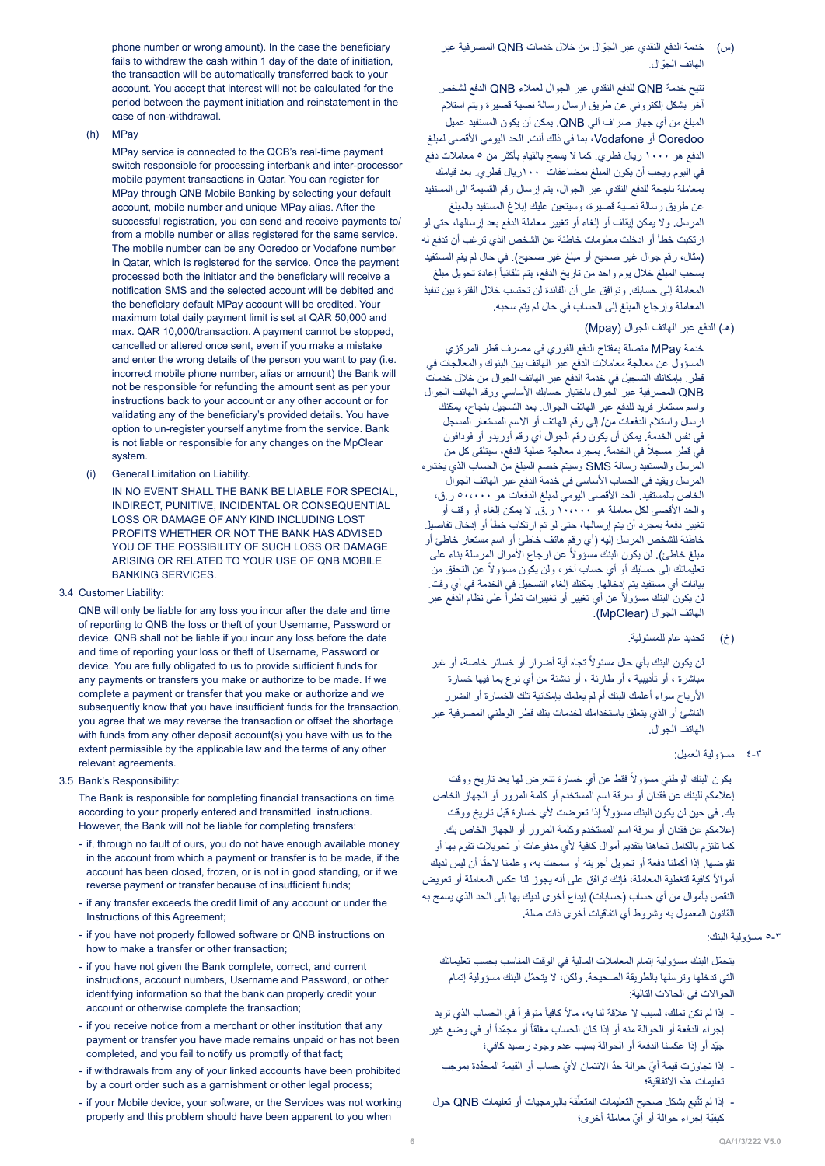phone number or wrong amount). In the case the beneficiary fails to withdraw the cash within 1 day of the date of initiation, the transaction will be automatically transferred back to your account. You accept that interest will not be calculated for the period between the payment initiation and reinstatement in the case of non-withdrawal.

 $(h)$  MPay

MPay service is connected to the QCB's real-time payment switch responsible for processing interbank and inter-processor mobile payment transactions in Qatar. You can register for MPay through QNB Mobile Banking by selecting your default account, mobile number and unique MPay alias. After the successful registration, you can send and receive payments to/ from a mobile number or alias registered for the same service. The mobile number can be any Ooredoo or Vodafone number in Qatar, which is registered for the service. Once the payment processed both the initiator and the beneficiary will receive a notification SMS and the selected account will be debited and the beneficiary default MPay account will be credited. Your maximum total daily payment limit is set at QAR 50,000 and max, QAR 10,000/transaction. A payment cannot be stopped. cancelled or altered once sent, even if you make a mistake and enter the wrong details of the person you want to pay (i.e. incorrect mobile phone number, alias or amount) the Bank will not be responsible for refunding the amount sent as per your instructions back to your account or any other account or for validating any of the beneficiary's provided details. You have option to un-register yourself anytime from the service. Bank is not liable or responsible for any changes on the MpClear .system

(i) General Limitation on Liability.

IN NO EVENT SHALL THE BANK BE LIABLE FOR SPECIAL. INDIRECT, PUNITIVE, INCIDENTAL OR CONSEQUENTIAL LOSS OR DAMAGE OF ANY KIND INCLUDING LOST PROFITS WHETHER OR NOT THE BANK HAS ADVISED YOU OF THE POSSIBILITY OF SUCH LOSS OR DAMAGE ARISING OR RELATED TO YOUR USE OF ONB MOBILE BANKING SERVICES.

3.4 Customer Liability:

QNB will only be liable for any loss you incur after the date and time of reporting to QNB the loss or theft of your Username, Password or device. QNB shall not be liable if you incur any loss before the date and time of reporting your loss or theft of Username, Password or device. You are fully obligated to us to provide sufficient funds for any payments or transfers you make or authorize to be made. If we complete a payment or transfer that you make or authorize and we subsequently know that you have insufficient funds for the transaction, you agree that we may reverse the transaction or offset the shortage with funds from any other deposit account (s) you have with us to the extent permissible by the applicable law and the terms of any other relevant agreements.

3.5 Bank's Responsibility:

The Bank is responsible for completing financial transactions on time according to your properly entered and transmitted instructions. However, the Bank will not be liable for completing transfers:

- if, through no fault of ours, you do not have enough available money in the account from which a payment or transfer is to be made, if the account has been closed, frozen, or is not in good standing, or if we reverse payment or transfer because of insufficient funds;
- if any transfer exceeds the credit limit of any account or under the Instructions of this Agreement;
- if you have not properly followed software or QNB instructions on how to make a transfer or other transaction:
- if you have not given the Bank complete, correct, and current instructions, account numbers. Username and Password, or other identifying information so that the bank can properly credit your account or otherwise complete the transaction;
- if you receive notice from a merchant or other institution that any payment or transfer you have made remains unpaid or has not been completed, and you fail to notify us promptly of that fact;
- if withdrawals from any of your linked accounts have been prohibited by a court order such as a garnishment or other legal process;
- if your Mobile device, your software, or the Services was not working properly and this problem should have been apparent to you when

)س( ّ خدمة الدفع النقدي عبر الجوال من خالل خدمات QNB المصرفية عبر ّ الهاتف الجوال.

تتيح خدمة QNB للدفع النقدي عبر الجوال لعمالء QNB الدفع لشخص آخر بشكل إلكتروني عن طريق ارسال رسالة نصية قصيرة ويتم استالم المبلغ من أي جهاز صراف آلي QNB. يمكن أن يكون المستفيد عميل Ooredoo أو Vodafone، بما في ذلك أنت. الحد اليومي األقصى لمبلغ الدفع هو 1000 ريال قطري. كما ال يسمح بالقيام بأكثر من 5 معامالت دفع في اليوم ويجب أن يكون المبلغ بمضاعفات 100ريال قطري. بعد قيامك بمعاملة ناجحة للدفع النقدي عبر الجوال، يتم إرسال رقم القسيمة الى المستفيد عن طريق رسالة نصية قصيرة، وسيتعين عليك إبالغ المستفيد بالمبلغ المرسل. وال يمكن إيقاف أو إلغاء أو تغيير معاملة الدفع بعد إرسالها، حتى لو ارتكبت خطأ أو ادخلت معلومات خاطئة عن الشخص الذي ترغب أن تدفع له (مثال، رقم جوال غير صحيح أو مبلغ غير صحيح). في حال لم يقم المستفيد بسحب المبلغ خلال يوم واحد من تاريخ الدفع، يتم تلقائياً إعادة تحويل مبلغ المعاملة إلى حسابك. وتوافق على أن الفائدة لن تحتسب خالل الفترة بين تنفيذ المعاملة وإرجاع المبلغ إلى الحساب في حال لم يتم سحبه.

)هـ( الدفع عبر الهاتف الجوال )Mpay)

 خدمة MPay متصلة بمفتاح الدفع الفوري في مصرف قطر المركزي المسؤول عن معالجة معامالت الدفع عبر الهاتف بين البنوك والمعالجات في قطر. بإمكانك التسجيل في خدمة الدفع عبر الهاتف الجوال من خالل خدمات QNB المصرفية عبر الجوال باختيار حسابك األساسي ورقم الهاتف الجوال واسم مستعار فريد للدفع عبر الهاتف الجوال. بعد التسجيل بنجاح، يمكنك ارسال واستالم الدفعات من/ إلى رقم الهاتف أو االسم المستعار المسجل في نفس الخدمة. يمكن أن يكون رقم الجوال أي رقم أوريدو أو فودافون في قطر مسجلاً في الخدمة. بمجرد معالجة عملية الدفع، سيتلقى كل من المرسل والمستفيد رسالة SMS وسيتم خصم المبلغ من الحساب الذي يختاره المرسل ويقيد في الحساب الأساسي في خدمة الدفع عبر الهاتف الجوال الخاص بالمستفيد. الحد الأقصىي اليومي لمبلغ الدفعات هو ٥٠،٠٠٠ ر ق، والحد األقصى لكل معاملة هو 10،000 ر.ق. ال يمكن إلغاء أو وقف أو تغيير دفعة بمجرد أن يتم إرسالها، حتى لو تم ارتكاب خطأ أو إدخال تفاصيل خاطئة للشخص المرسل إليه (أي رقم هاتف خاطئ أو اسم مستعار خاطئ أو مبلغ خاطئ). لن يكون البنك مسؤولاً عن ارجاع الأموال المرسلة بناء على نعليماتك إلى حسابك أو أي حساب آخر، ولن يكون مسؤولاً عن التحقق من بيانات أي مستفيد يتم إدخالها. يمكنك إلغاء التسجيل في الخدمة في أي وقت. لن يكون البنك مسؤولاً عن أي تغيير أو تغييرات تطرأ على نظام الدفع عبر الهاتف الجوال )MpClear).

)خ( تحديد عام للمسئولية.

لن يكون البنك بأي حال مسئولاً تجاه أية أضرار أو خسائر خاصة، أو غير مباشرة ، أو تأديبية ، أو طارئة ، أو ناشئة من أي نوع بما فيها خسارة األرباح سواء أعلمك البنك أم لم يعلمك بإمكانية تلك الخسارة أو الضرر الناشئ أو الذي يتعلق باستخدامك لخدمات بنك قطر الوطني المصرفية عبر الهاتف الجوال.

4-3 مسؤولية العميل:

يكون البنك الوطني مسؤولاً فقط عن أي خسارة تتعرض لها بعد تاريخ ووقت إعالمكم للبنك عن فقدان أو سرقة اسم المستخدم أو كلمة المرور أو الجهاز الخاص بك. في حين لن يكون البنك مسؤولاً إذا تعرضت لأي خسارة قبل تاريخ ووقت إعالمكم عن فقدان أو سرقة اسم المستخدم وكلمة المرور أو الجهاز الخاص بك. كما تلتزم بالكامل تجاهنا بتقديم أموال كافية ألي مدفوعات أو تحويالت تقوم بها أو تفوضها. إذا أكملنا دفعة أو تحويل أجريته أو سمحت به، وعلمنا لاحقًا أن ليس لديك ً كافية لتغطية المعاملة، فإنك توافق على أنه يجوز لنا عكس المعاملة أو تعويض أمواال النقص بأموال من أي حساب (حسابات) إيداع أخرى لديك بها إلى الحد الذي يسمح به القانون المعمول به وشروط أي اتفاقيات أخرى ذات صلة.

## 5-3 مسؤولية البنك:

ّ يتحمل البنك مسؤولية إتمام المعامالت المالية في الوقت المناسب بحسب تعليماتك ّ التي تدخلها وترسلها بالطريقة الصحيحة. ولكن، ال يتحمل البنك مسؤولية إتمام الحواالت في الحاالت التالية:

- إذا لم تكن تملك، لسبب لا علاقة لنا به، مالاً كافياً متوفراً في الحساب الذي تريد إجراء الدفعة أو الحوالة منه أو إذا كان الحساب مغلقاً أو مجمّداً أو في وضع غير ّجيد أو إذا عكسنا الدفعة أو الحوالة بسبب عدم وجود رصيد كافي؛
	- ّ إذا تجاوزت قيمة أي ّ حوالة حد ّ االئتمان ألي ّ حساب أو القيمة المحددة بموجب تعليمات هذه االتفاقية؛
- إذا لم تتّبع بشكل صحيح التعليمات المتعلّقة بالبرمجيات أو تعليمات QNB حول كيفيّة إجراء حوالة أو أيّ معاملة أخرى؛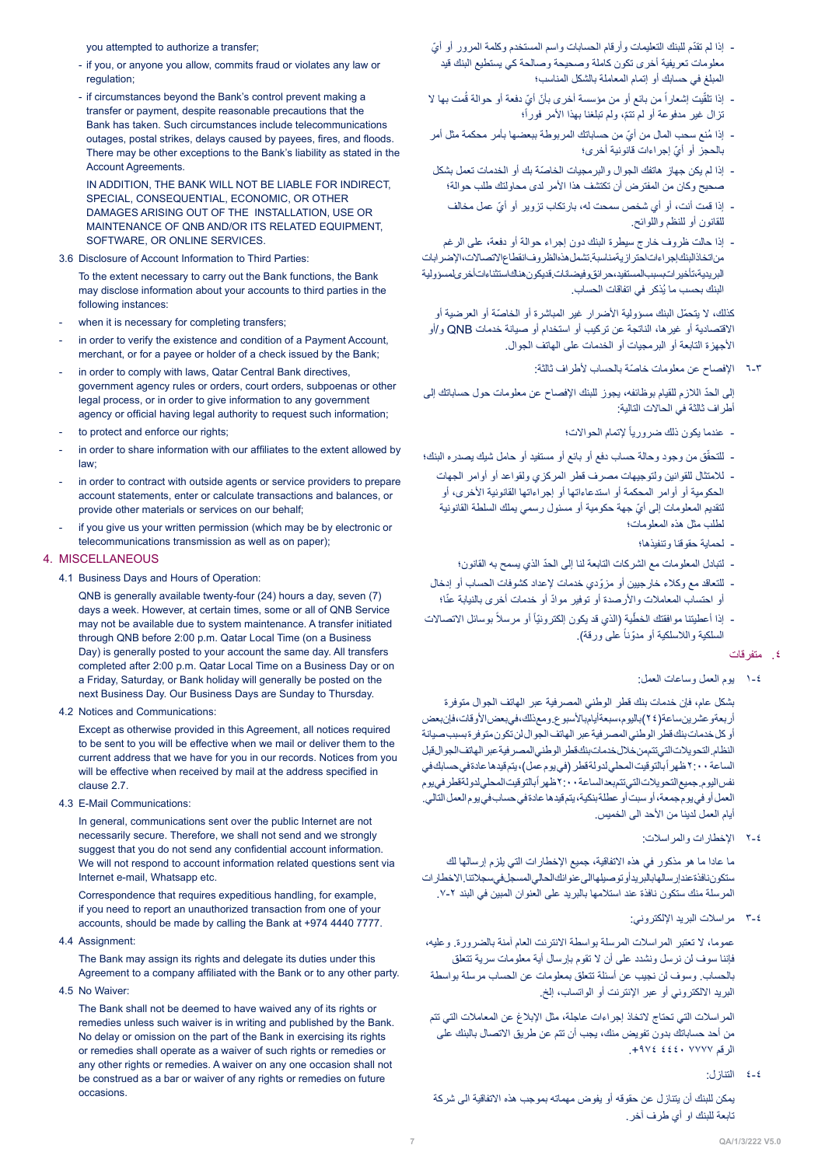you attempted to authorize a transfer;

- if you, or anyone you allow, commits fraud or violates any law or regulation:
- if circumstances beyond the Bank's control prevent making a transfer or payment, despite reasonable precautions that the Bank has taken. Such circumstances include telecommunications outages, postal strikes, delays caused by payees, fires, and floods. There may be other exceptions to the Bank's liability as stated in the Account Agreements.

IN ADDITION, THE BANK WILL NOT BE LIABLE FOR INDIRECT, SPECIAL, CONSEQUENTIAL, ECONOMIC, OR OTHER DAMAGES ARISING OUT OF THE INSTALLATION, USE OR MAINTENANCE OF ONB AND/OR ITS RELATED EQUIPMENT. SOFTWARE, OR ONLINE SERVICES.

## 3.6 Disclosure of Account Information to Third Parties:

To the extent necessary to carry out the Bank functions, the Bank may disclose information about your accounts to third parties in the following instances:

- when it is necessary for completing transfers;
- in order to verify the existence and condition of a Payment Account, merchant, or for a payee or holder of a check issued by the Bank;
- in order to comply with laws, Qatar Central Bank directives, government agency rules or orders, court orders, subpoenas or other legal process, or in order to give information to any government agency or official having legal authority to request such information;
- to protect and enforce our rights;
- in order to share information with our affiliates to the extent allowed by ;law
- in order to contract with outside agents or service providers to prepare account statements enter or calculate transactions and balances or provide other materials or services on our behalf:
- if you give us your written permission (which may be by electronic or telecommunications transmission as well as on paper);

## 4. MISCELLANEOUS

4.1 Business Days and Hours of Operation:

 $QNB$  is generally available twenty-four (24) hours a day, seven (7) days a week. However, at certain times, some or all of QNB Service may not be available due to system maintenance. A transfer initiated through QNB before 2:00 p.m. Qatar Local Time (on a Business Day) is generally posted to your account the same day. All transfers completed after 2:00 p.m. Qatar Local Time on a Business Day or on a Friday, Saturday, or Bank holiday will generally be posted on the next Business Day. Our Business Days are Sunday to Thursday.

### 4.2 Notices and Communications:

Except as otherwise provided in this Agreement, all notices required to be sent to you will be effective when we mail or deliver them to the current address that we have for you in our records. Notices from you will be effective when received by mail at the address specified in clause 2.7

4.3 E-Mail Communications:

In general, communications sent over the public Internet are not necessarily secure. Therefore, we shall not send and we strongly suggest that you do not send any confidential account information. We will not respond to account information related questions sent via Internet e-mail, Whatsapp etc.

Correspondence that requires expeditious handling, for example, if you need to report an unauthorized transaction from one of your accounts, should be made by calling the Bank at +974 4440 7777.

4.4 Assignment:

The Bank may assign its rights and delegate its duties under this Agreement to a company affiliated with the Bank or to any other party.

4.5 No Waiver

The Bank shall not be deemed to have waived any of its rights or remedies unless such waiver is in writing and published by the Bank. No delay or omission on the part of the Bank in exercising its rights or remedies shall operate as a waiver of such rights or remedies or any other rights or remedies. A waiver on any one occasion shall not be construed as a bar or waiver of any rights or remedies on future .occasions

- إذا لم تقدّم للبنك التعليمات وأرقام الحسابات واسم المستخدم وكلمة المرور أو أيّ معلومات تعريفية أخرى تكون كاملة وصحيحة وصالحة كي يستطيع البنك قيد المبلغ في حسابك أو إتمام المعاملة بالشكل المناسب؛
- إذا تلقّيت إشعاراً من بائع أو من مؤسسة أخرى بأنّ أيّ دفعة أو حوالة قُمت بها لا نزال غير مدفوعة أو لم تتمّ، ولم تبلغنا بهذا الأمر فوراً؛
- إذا مُنع سحب المال من أيّ من حساباتك المربوطة ببعضها بأمر محكمة مثل أمر ّ بالحجز أو أي إجراءات قانونية أخرى؛
- ّ إذا لم يكن جهاز هاتفك الجوال والبرمجيات الخاصة بك أو الخدمات تعمل بشكل صحيح وكان من المفترض أن تكتشف هذا األمر لدى محاولتك طلب حوالة؛
	- ّ إذا قمت أنت، أو أي شخص سمحت له، بارتكاب تزوير أو أي عمل مخالف للقانون أو للنظم واللوائح.
- إذا حالت ظروف خارج سيطرة البنك دون إجراء حوالة أو دفعة، على الرغم من اتخاذ البنك إجراءات احترازية مناسبة. تشمل هذه الظروف انقطاع االتصاالت، اإلضرابات البريدية، تأخيرات بسبب المستفيد، حرائق وفيضانات. قد يكون هناك استثناءات أخرى لمسؤولية ُ البنك بحسب ما يذكر في اتفاقات الحساب.

.<br>كذلك، لا يتحمّل البنك مسؤولية الأضرار غير المباشرة أو الخاصّة أو العرضية أو االقتصادية أو غيرها، الناتجة عن تركيب أو استخدام أو صيانة خدمات QNB و/أو األجهزة التابعة أو البرمجيات أو الخدمات على الهاتف الجوال.

6-3 ّ اإلفصاح عن معلومات خاصة بالحساب ألطراف ثالثة:

ّ إلى الحد الالزم للقيام بوظائفه، يجوز للبنك اإلفصاح عن معلومات حول حساباتك إلى أطراف ثالثة في الحاالت التالية:

- عندما يكون ذلك ضرورياً لإتمام الحوالات؛
- ّق من وجود وحالة حساب دفع أو بائع أو مستفيد أو حامل شيك يصدره البنك؛ للتحق
- لالمتثال للقوانين ولتوجيهات مصرف قطر المركزي ولقواعد أو أوامر الجهات الحكومية أو أوامر المحكمة أو استدعاءاتها أو إجراءاتها القانونية الأخرى، أو ّ لتقديم المعلومات إلى أي جهة حكومية أو مسئول رسمي يملك السلطة القانونية لطلب مثل هذه المعلومات؛
	- لحماية حقوقنا وتنفيذها؛
	- ّ لتبادل المعلومات مع الشركات التابعة لنا إلى الحد الذي يسمح به القانون؛
- ّ للتعاقد مع وكالء خارجيين أو مزودي خدمات إلعداد كشوفات الحساب أو إدخال أو احتساب المعاملات والأرصدة أو توفير موادّ أو خدمات أخرى بالنيابة عنّا؛
- إذا أعطيتنا موافقتك الخطّية (الذي قد يكون إلكترونيّاً أو مرسلاً بوسائل الاتصالات السلكية واللاسلكية أو مدوّناً على ورقة).
	- .٤ متفرقات
	- 1-4 يوم العمل وساعات العمل:

بشكل عام، فإن خدمات بنك قطر الوطني المصرفية عبر الهاتف الجوال متوفرة أربعةو عشرين ساعة(٢٤)باليوم، سبعة أيام بالأسبوع. ومع ذلك، في بعض الأوقات، فإن بعض أو كل خدمات بنك قطر الوطني المصرفية عبر الهاتف الجوال لن تكون متوفرة بسبب صيانة النظام. التحويالت التي تتم من خالل خدمات بنك قطر الوطني المصرفية عبر الهاتف الجوال قبل الساعة ٢:٠٠ ظهر أبالتوقيت المحلي لدولة قطر (في يوم عمل)، يتم قيدها عادة في حسابك في نفس اليوم جميع التحويلات التي تتم بعد الساعة ٢:٠٠ ظهر أبالتوقيت المحلي لدولةقطر في يوم العمل أو في يوم جمعة، أو سبت أو عطلة بنكية، يتم قيدها عادة في حساب في يوم العمل التالي. أيام العمل لدينا من الأحد الى الخميس.

2-4 اإلخطارات والمراسالت:

ما عادا ما هو مذكور في هذه االتفاقية، جميع اإلخطارات التي يلزم إرسالها لك ستكون نافذة عند إرسالها بالبريد أو توصيلها الى عنوانك الحالي المسجل في سجالتنا. االخطارات المرسلة منك ستكون نافذة عند استالمها بالبريد على العنوان المبين في البند .7-2

3-4 مراسالت البريد اإللكتروني:

عموما، ال تعتبر المراسالت المرسلة بواسطة االنترنت العام آمنة بالضرورة. وعليه، فإننا سوف لن نرسل ونشدد على أن ال تقوم بإرسال أية معلومات سرية تتعلق بالحساب. وسوف لن نجيب عن أسئلة تتعلق بمعلومات عن الحساب مرسلة بواسطة البريد االلكتروني أو عبر اإلنترنت أو الواتساب، إلخ.

المراسالت التي تحتاج التخاذ إجراءات عاجلة، مثل اإلبالغ عن المعامالت التي تتم من أحد حساباتك بدون تفويض منك، يجب أن تتم عن طريق االتصال بالبنك على الرقم 7777 4440 .+974

4-4 التنازل:

يمكن للبنك أن يتنازل عن حقوقه أو يفوض مهماته بموجب هذه االتفاقية الى شركة تابعة للبنك او أي طرف آخر.